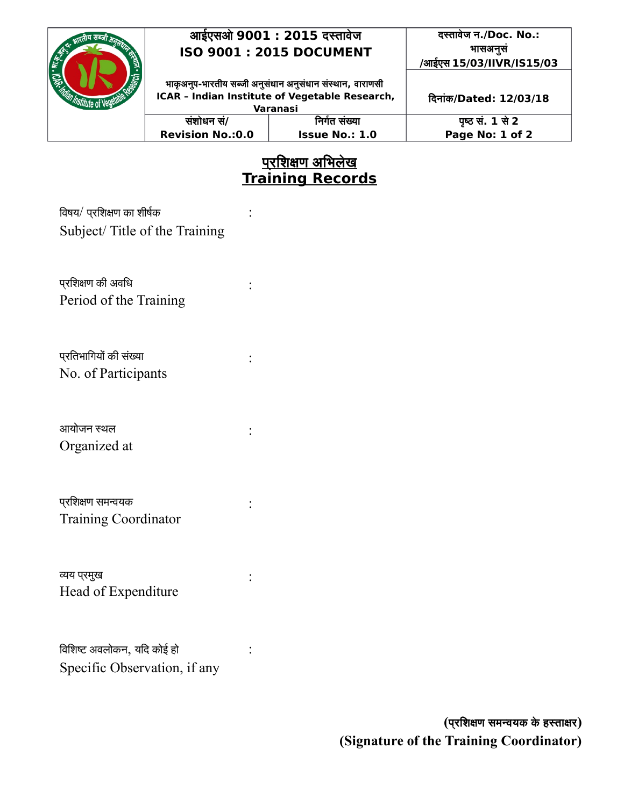

### **आईएसओ 9001 : 2015 दस्तताववेज ISO 9001 : 2015 DOCUMENT**

**दस्तताववेज न./Doc. No.: भतासअनससं न /आईएस 15/03/IIVR/IS15/03**

**भताककअनपन-भतारततीय सब्जती अनससंधतान अन न ससंधतान ससंस्थतान न , वतारताणसती ICAR – Indian Institute of Vegetable Research,**

:

:

:

:

:

:

:

**ददनतासंक/Dated: 12/03/18**

| Varanasi                |                       |                  |
|-------------------------|-----------------------|------------------|
| संशोधन सं/              | निर्गत संख्या         | पृष्ठ सं. 1 से 2 |
| <b>Revision No.:0.0</b> | <b>Issue No.: 1.0</b> | Page No: 1 of 2  |
|                         |                       |                  |

## <u>प्**रशिक्षण अ**भिलेख</u> **Training Records**

विषय/ प्रशिक्षण का शीर्षक Subject/ Title of the Training

प्*रशिक्षण की अवधि* Period of the Training

प्*र*तिभागियों की संख्या No. of Participants

आयोजन स्थल Organized at

परवशिक्षण समन्वियक प Training Coordinator

व्यय प्रमुख Head of Expenditure

विशिष्ट अवलोकन, यदि कोई हो Specific Observation, if any

> **(पपरदशक्षण समन्वयक कवे हस्तताक्षर) (Signature of the Training Coordinator)**